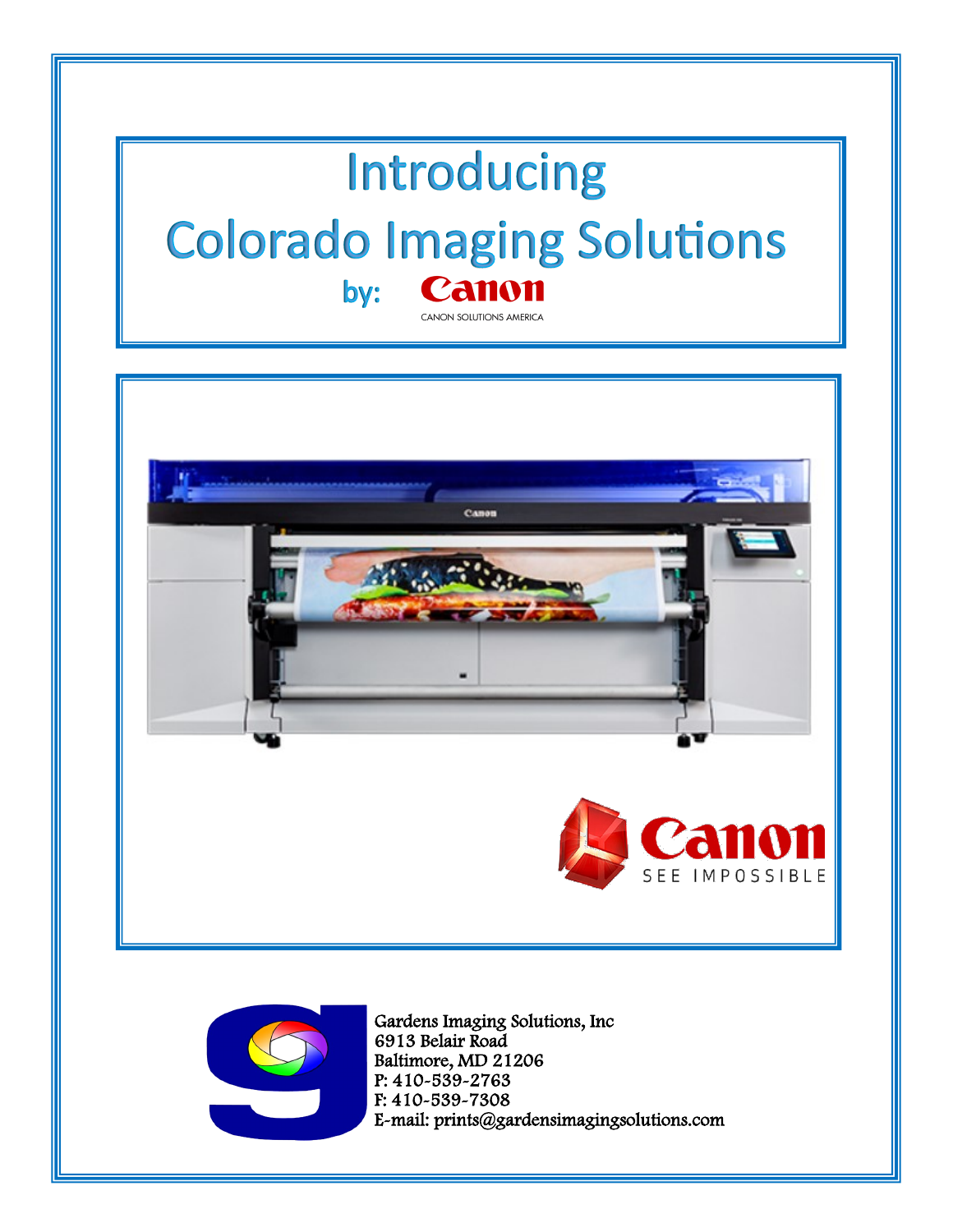## Introducing **Colorado Imaging Solutions** Canon by: CANON SOLUTIONS AMERICA





Baltimore, MD 21206 P: 410-539-2763 F: 410-539-7308 E-mail: prints@gardensimagingsolutions.com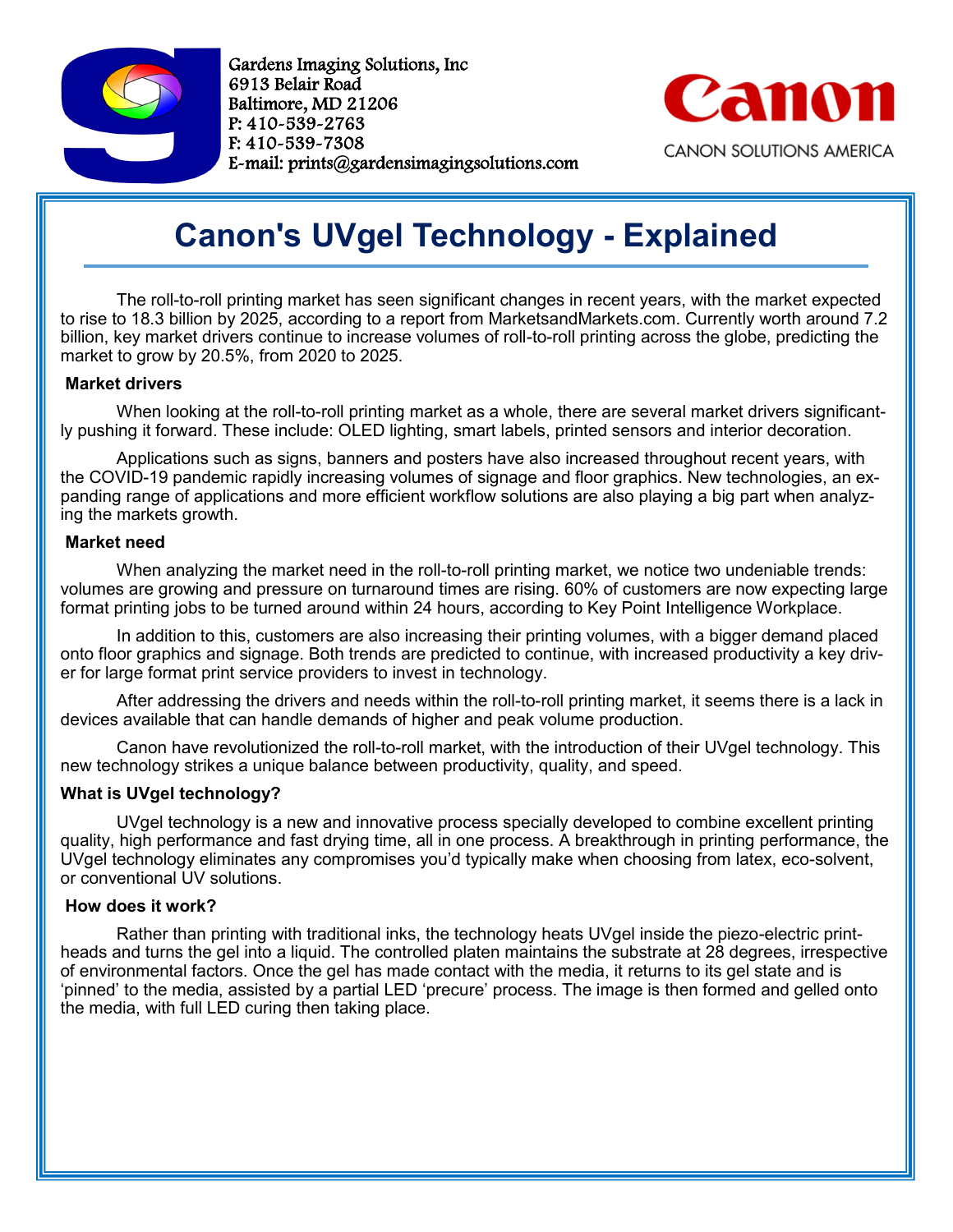

Gardens Imaging Solutions, Inc 6913 Belair Road Baltimore, MD 21206 P: 410-539-2763 F: 410-539-7308 E-mail: prints@gardensimagingsolutions.com



## **Canon's UVgel Technology - Explained**

The roll-to-roll printing market has seen significant changes in recent years, with the market expected to rise to 18.3 billion by 2025, according to a report from MarketsandMarkets.com. Currently worth around 7.2 billion, key market drivers continue to increase volumes of roll-to-roll printing across the globe, predicting the market to grow by 20.5%, from 2020 to 2025.

### **Market drivers**

When looking at the roll-to-roll printing market as a whole, there are several market drivers significantly pushing it forward. These include: OLED lighting, smart labels, printed sensors and interior decoration.

Applications such as signs, banners and posters have also increased throughout recent years, with the COVID-19 pandemic rapidly increasing volumes of signage and floor graphics. New technologies, an expanding range of applications and more efficient workflow solutions are also playing a big part when analyzing the markets growth.

### **Market need**

When analyzing the market need in the roll-to-roll printing market, we notice two undeniable trends: volumes are growing and pressure on turnaround times are rising. 60% of customers are now expecting large format printing jobs to be turned around within 24 hours, according to Key Point Intelligence Workplace.

In addition to this, customers are also increasing their printing volumes, with a bigger demand placed onto floor graphics and signage. Both trends are predicted to continue, with increased productivity a key driver for large format print service providers to invest in technology.

After addressing the drivers and needs within the roll-to-roll printing market, it seems there is a lack in devices available that can handle demands of higher and peak volume production.

Canon have revolutionized the roll-to-roll market, with the introduction of their UVgel technology. This new technology strikes a unique balance between productivity, quality, and speed.

## **What is UVgel technology?**

UVgel technology is a new and innovative process specially developed to combine excellent printing quality, high performance and fast drying time, all in one process. A breakthrough in printing performance, the UVgel technology eliminates any compromises you'd typically make when choosing from latex, eco-solvent, or conventional UV solutions.

### **How does it work?**

Rather than printing with traditional inks, the technology heats UVgel inside the piezo-electric printheads and turns the gel into a liquid. The controlled platen maintains the substrate at 28 degrees, irrespective of environmental factors. Once the gel has made contact with the media, it returns to its gel state and is 'pinned' to the media, assisted by a partial LED 'precure' process. The image is then formed and gelled onto the media, with full LED curing then taking place.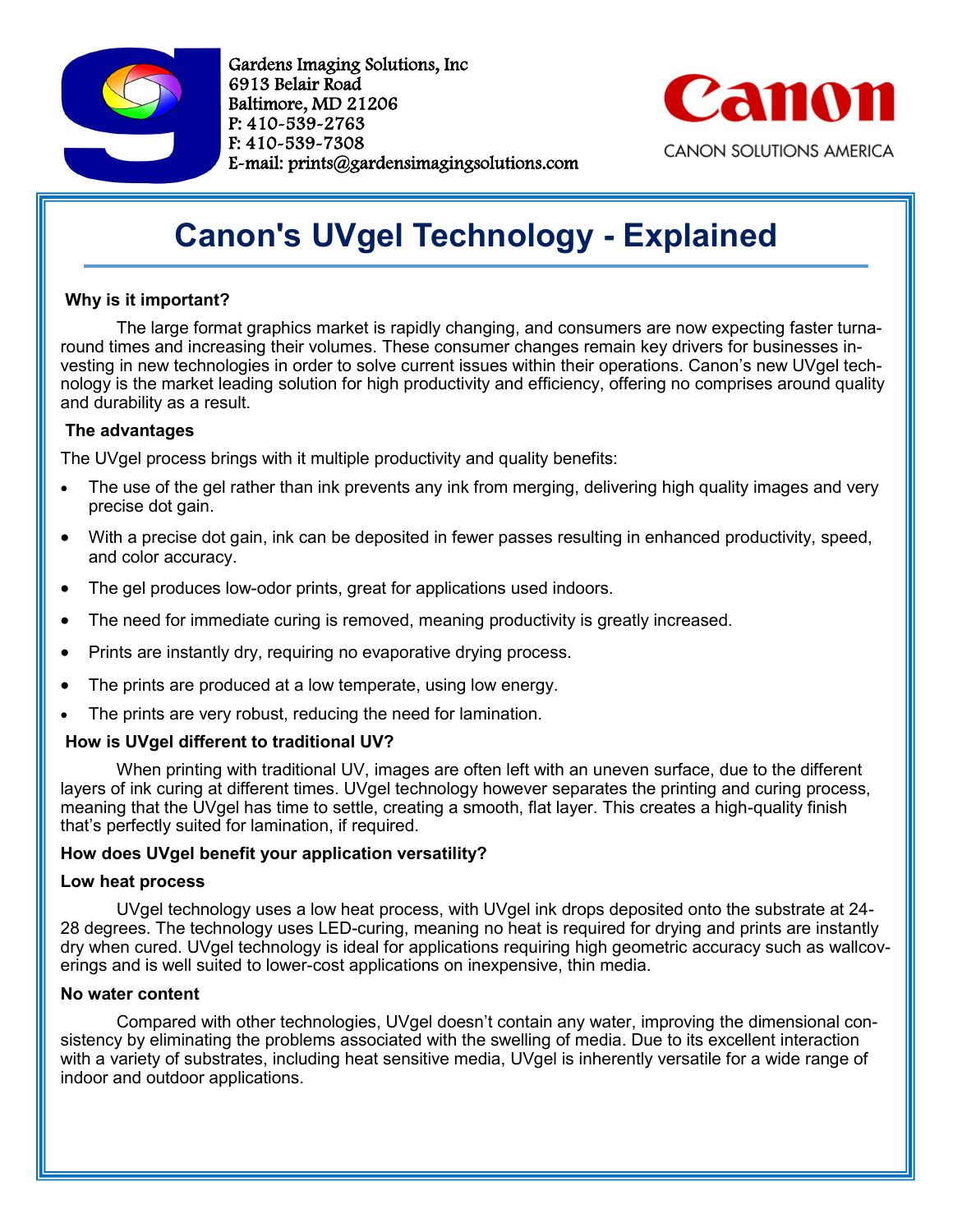

Gardens Imaging Solutions, Inc 6913 Belair Road Baltimore, MD 21206 P: 410-539-2763 F: 410-539-7308 E-mail: prints@gardensimagingsolutions.com



## **Canon's UVgel Technology - Explained**

## **Why is it important?**

The large format graphics market is rapidly changing, and consumers are now expecting faster turnaround times and increasing their volumes. These consumer changes remain key drivers for businesses investing in new technologies in order to solve current issues within their operations. Canon's new UVgel technology is the market leading solution for high productivity and efficiency, offering no comprises around quality and durability as a result.

## **The advantages**

The UVgel process brings with it multiple productivity and quality benefits:

- The use of the gel rather than ink prevents any ink from merging, delivering high quality images and very precise dot gain.
- With a precise dot gain, ink can be deposited in fewer passes resulting in enhanced productivity, speed, and color accuracy.
- The gel produces low-odor prints, great for applications used indoors.
- The need for immediate curing is removed, meaning productivity is greatly increased.
- Prints are instantly dry, requiring no evaporative drying process.
- The prints are produced at a low temperate, using low energy.
- The prints are very robust, reducing the need for lamination.

## **How is UVgel different to traditional UV?**

When printing with traditional UV, images are often left with an uneven surface, due to the different layers of ink curing at different times. UVgel technology however separates the printing and curing process, meaning that the UVgel has time to settle, creating a smooth, flat layer. This creates a high-quality finish that's perfectly suited for lamination, if required.

## **How does UVgel benefit your application versatility?**

### **Low heat process**

UVgel technology uses a low heat process, with UVgel ink drops deposited onto the substrate at 24- 28 degrees. The technology uses LED-curing, meaning no heat is required for drying and prints are instantly dry when cured. UVgel technology is ideal for applications requiring high geometric accuracy such as wallcoverings and is well suited to lower-cost applications on inexpensive, thin media.

### **No water content**

Compared with other technologies, UVgel doesn't contain any water, improving the dimensional consistency by eliminating the problems associated with the swelling of media. Due to its excellent interaction with a variety of substrates, including heat sensitive media, UVgel is inherently versatile for a wide range of indoor and outdoor applications.